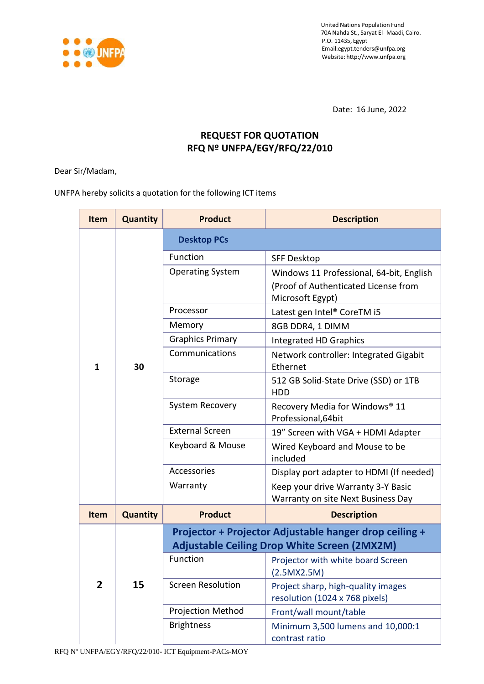

Date: 16 June, 2022

# **REQUEST FOR QUOTATION RFQ Nº UNFPA/EGY/RFQ/22/010**

Dear Sir/Madam,

UNFPA hereby solicits a quotation for the following ICT items

| Item           | <b>Quantity</b> | <b>Product</b>                                         | <b>Description</b>                                                       |  |  |
|----------------|-----------------|--------------------------------------------------------|--------------------------------------------------------------------------|--|--|
|                |                 | <b>Desktop PCs</b>                                     |                                                                          |  |  |
|                |                 | Function                                               | <b>SFF Desktop</b>                                                       |  |  |
|                |                 | <b>Operating System</b>                                | Windows 11 Professional, 64-bit, English                                 |  |  |
|                |                 |                                                        | (Proof of Authenticated License from<br>Microsoft Egypt)                 |  |  |
|                |                 | Processor                                              | Latest gen Intel® CoreTM i5                                              |  |  |
|                |                 | Memory                                                 | 8GB DDR4, 1 DIMM                                                         |  |  |
|                |                 | <b>Graphics Primary</b>                                | <b>Integrated HD Graphics</b>                                            |  |  |
| $\mathbf{1}$   | 30              | Communications                                         | Network controller: Integrated Gigabit<br>Ethernet                       |  |  |
|                |                 | Storage                                                | 512 GB Solid-State Drive (SSD) or 1TB<br><b>HDD</b>                      |  |  |
|                |                 | System Recovery                                        | Recovery Media for Windows <sup>®</sup> 11<br>Professional, 64bit        |  |  |
|                |                 | <b>External Screen</b>                                 | 19" Screen with VGA + HDMI Adapter                                       |  |  |
|                |                 | Keyboard & Mouse                                       | Wired Keyboard and Mouse to be<br>included                               |  |  |
|                |                 | Accessories                                            | Display port adapter to HDMI (If needed)                                 |  |  |
|                |                 | Warranty                                               | Keep your drive Warranty 3-Y Basic<br>Warranty on site Next Business Day |  |  |
| <b>Item</b>    | <b>Quantity</b> | <b>Product</b>                                         | <b>Description</b>                                                       |  |  |
|                |                 | Projector + Projector Adjustable hanger drop ceiling + |                                                                          |  |  |
|                | 15              | <b>Adjustable Ceiling Drop White Screen (2MX2M)</b>    |                                                                          |  |  |
|                |                 | Function                                               | Projector with white board Screen<br>(2.5MX2.5M)                         |  |  |
| $\overline{2}$ |                 | <b>Screen Resolution</b>                               | Project sharp, high-quality images<br>resolution (1024 x 768 pixels)     |  |  |
|                |                 | <b>Projection Method</b>                               | Front/wall mount/table                                                   |  |  |
|                |                 | <b>Brightness</b>                                      | Minimum 3,500 lumens and 10,000:1<br>contrast ratio                      |  |  |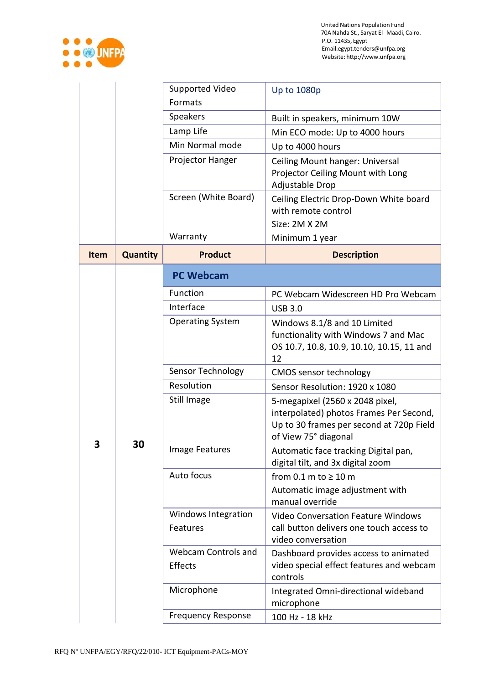

|             | Supported Video<br>Formats |                                       | <b>Up to 1080p</b>                                                                                                                             |  |  |
|-------------|----------------------------|---------------------------------------|------------------------------------------------------------------------------------------------------------------------------------------------|--|--|
|             |                            |                                       |                                                                                                                                                |  |  |
|             |                            | Speakers                              | Built in speakers, minimum 10W                                                                                                                 |  |  |
|             |                            | Lamp Life                             | Min ECO mode: Up to 4000 hours                                                                                                                 |  |  |
|             |                            | Min Normal mode                       | Up to 4000 hours                                                                                                                               |  |  |
|             |                            | Projector Hanger                      | Ceiling Mount hanger: Universal<br>Projector Ceiling Mount with Long<br>Adjustable Drop                                                        |  |  |
|             |                            | Screen (White Board)                  | Ceiling Electric Drop-Down White board<br>with remote control<br>Size: 2M X 2M                                                                 |  |  |
|             | Warranty                   |                                       | Minimum 1 year                                                                                                                                 |  |  |
| <b>Item</b> | <b>Quantity</b>            | <b>Product</b>                        | <b>Description</b>                                                                                                                             |  |  |
|             |                            | <b>PC Webcam</b>                      |                                                                                                                                                |  |  |
|             |                            | Function                              | PC Webcam Widescreen HD Pro Webcam                                                                                                             |  |  |
|             |                            | Interface                             | <b>USB 3.0</b>                                                                                                                                 |  |  |
|             | 30                         | <b>Operating System</b>               | Windows 8.1/8 and 10 Limited<br>functionality with Windows 7 and Mac<br>OS 10.7, 10.8, 10.9, 10.10, 10.15, 11 and<br>12                        |  |  |
|             |                            | Sensor Technology                     | <b>CMOS sensor technology</b>                                                                                                                  |  |  |
|             |                            | Resolution                            | Sensor Resolution: 1920 x 1080                                                                                                                 |  |  |
|             |                            | Still Image                           | 5-megapixel (2560 x 2048 pixel,<br>interpolated) photos Frames Per Second,<br>Up to 30 frames per second at 720p Field<br>of View 75° diagonal |  |  |
| 7           |                            | Image Features                        | Automatic face tracking Digital pan,<br>digital tilt, and 3x digital zoom                                                                      |  |  |
|             |                            | Auto focus                            | from $0.1$ m to $\geq 10$ m<br>Automatic image adjustment with                                                                                 |  |  |
|             |                            |                                       | manual override                                                                                                                                |  |  |
|             |                            | Windows Integration<br>Features       | <b>Video Conversation Feature Windows</b><br>call button delivers one touch access to<br>video conversation                                    |  |  |
|             |                            | <b>Webcam Controls and</b><br>Effects | Dashboard provides access to animated<br>video special effect features and webcam<br>controls                                                  |  |  |
|             |                            | Microphone                            | Integrated Omni-directional wideband<br>microphone                                                                                             |  |  |
|             |                            | <b>Frequency Response</b>             | 100 Hz - 18 kHz                                                                                                                                |  |  |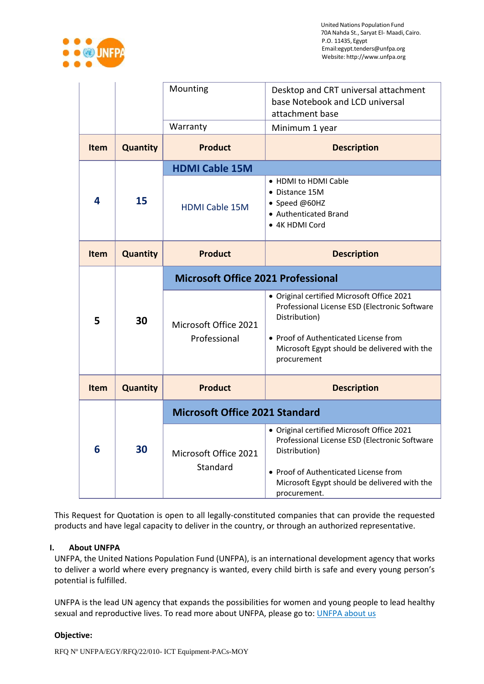

|             |                 | Mounting                                  | Desktop and CRT universal attachment<br>base Notebook and LCD universal<br>attachment base                                                                                                                            |  |
|-------------|-----------------|-------------------------------------------|-----------------------------------------------------------------------------------------------------------------------------------------------------------------------------------------------------------------------|--|
|             |                 | Warranty                                  | Minimum 1 year                                                                                                                                                                                                        |  |
| Item        | <b>Quantity</b> | <b>Product</b>                            | <b>Description</b>                                                                                                                                                                                                    |  |
|             |                 | <b>HDMI Cable 15M</b>                     |                                                                                                                                                                                                                       |  |
| 4           | 15              | <b>HDMI Cable 15M</b>                     | • HDMI to HDMI Cable<br>• Distance 15M<br>• Speed @60HZ<br>• Authenticated Brand<br>• 4K HDMI Cord                                                                                                                    |  |
| <b>Item</b> | <b>Quantity</b> | <b>Product</b>                            | <b>Description</b>                                                                                                                                                                                                    |  |
|             | 30              | <b>Microsoft Office 2021 Professional</b> |                                                                                                                                                                                                                       |  |
| 5           |                 | Microsoft Office 2021<br>Professional     | · Original certified Microsoft Office 2021<br>Professional License ESD (Electronic Software<br>Distribution)<br>• Proof of Authenticated License from<br>Microsoft Egypt should be delivered with the<br>procurement  |  |
| <b>Item</b> | <b>Quantity</b> | <b>Product</b>                            | <b>Description</b>                                                                                                                                                                                                    |  |
|             |                 | <b>Microsoft Office 2021 Standard</b>     |                                                                                                                                                                                                                       |  |
| 6           | 30              | Microsoft Office 2021<br>Standard         | · Original certified Microsoft Office 2021<br>Professional License ESD (Electronic Software<br>Distribution)<br>• Proof of Authenticated License from<br>Microsoft Egypt should be delivered with the<br>procurement. |  |

This Request for Quotation is open to all legally-constituted companies that can provide the requested products and have legal capacity to deliver in the country, or through an authorized representative.

### **I. About UNFPA**

UNFPA, the United Nations Population Fund (UNFPA), is an international development agency that works to deliver a world where every pregnancy is wanted, every child birth is safe and every young person's potential is fulfilled.

UNFPA is the lead UN agency that expands the possibilities for women and young people to lead healthy sexual and reproductive lives. To read more about UNFPA, please go to: [UNFPA about us](http://www.unfpa.org/about-us)

### **Objective:**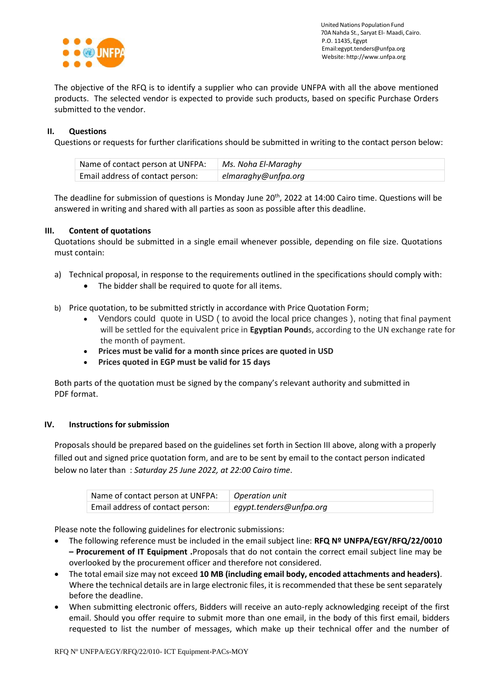

The objective of the RFQ is to identify a supplier who can provide UNFPA with all the above mentioned products. The selected vendor is expected to provide such products, based on specific Purchase Orders submitted to the vendor.

### **II. Questions**

Questions or requests for further clarifications should be submitted in writing to the contact person below:

| Name of contact person at UNFPA: | Ms. Noha El-Maraghy |
|----------------------------------|---------------------|
| Email address of contact person: | elmaraghy@unfpa.org |

The deadline for submission of questions is Monday June 20<sup>th</sup>, 2022 at 14:00 Cairo time. Questions will be answered in writing and shared with all parties as soon as possible after this deadline.

### **III. Content of quotations**

Quotations should be submitted in a single email whenever possible, depending on file size. Quotations must contain:

- a) Technical proposal, in response to the requirements outlined in the specifications should comply with:
	- The bidder shall be required to quote for all items.
- b) Price quotation, to be submitted strictly in accordance with Price Quotation Form;
	- Vendors could quote in USD ( to avoid the local price changes ), noting that final payment will be settled for the equivalent price in **Egyptian Pound**s, according to the UN exchange rate for the month of payment.
	- **Prices must be valid for a month since prices are quoted in USD**
	- **Prices quoted in EGP must be valid for 15 days**

Both parts of the quotation must be signed by the company's relevant authority and submitted in PDF format.

### **IV. Instructions for submission**

Proposals should be prepared based on the guidelines set forth in Section III above, along with a properly filled out and signed price quotation form, and are to be sent by email to the contact person indicated below no later than : *Saturday 25 June 2022, at 22:00 Cairo time*.

| Name of contact person at UNFPA: | Operation unit          |
|----------------------------------|-------------------------|
| Email address of contact person: | egypt.tenders@unfpa.org |

Please note the following guidelines for electronic submissions:

- The following reference must be included in the email subject line: **RFQ Nº UNFPA/EGY/RFQ/22/0010 – Procurement of IT Equipment .**Proposals that do not contain the correct email subject line may be overlooked by the procurement officer and therefore not considered.
- The total email size may not exceed **10 MB (including email body, encoded attachments and headers)**. Where the technical details are in large electronic files, it is recommended that these be sent separately before the deadline.
- When submitting electronic offers, Bidders will receive an auto-reply acknowledging receipt of the first email. Should you offer require to submit more than one email, in the body of this first email, bidders requested to list the number of messages, which make up their technical offer and the number of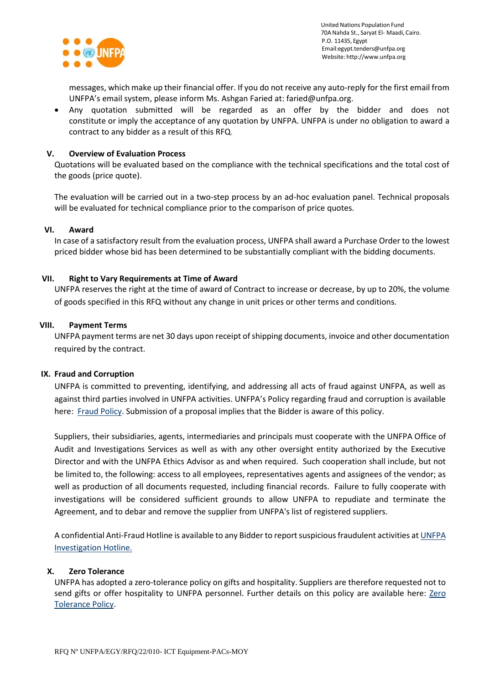

messages, which make up their financial offer. If you do not receive any auto-reply for the first email from UNFPA's email system, please inform Ms. Ashgan Faried at: faried@unfpa.org.

 Any quotation submitted will be regarded as an offer by the bidder and does not constitute or imply the acceptance of any quotation by UNFPA. UNFPA is under no obligation to award a contract to any bidder as a result of this RFQ.

### **V. Overview of Evaluation Process**

Quotations will be evaluated based on the compliance with the technical specifications and the total cost of the goods (price quote).

The evaluation will be carried out in a two-step process by an ad-hoc evaluation panel. Technical proposals will be evaluated for technical compliance prior to the comparison of price quotes.

### **VI. Award**

In case of a satisfactory result from the evaluation process, UNFPA shall award a Purchase Order to the lowest priced bidder whose bid has been determined to be substantially compliant with the bidding documents.

### **VII. Right to Vary Requirements at Time of Award**

UNFPA reserves the right at the time of award of Contract to increase or decrease, by up to 20%, the volume of goods specified in this RFQ without any change in unit prices or other terms and conditions.

### **VIII. Payment Terms**

UNFPA payment terms are net 30 days upon receipt of shipping documents, invoice and other documentation required by the contract.

### **IX. [Fraud and Corruption](http://www.unfpa.org/about-procurement#FraudCorruption)**

UNFPA is committed to preventing, identifying, and addressing all acts of fraud against UNFPA, as well as against third parties involved in UNFPA activities. UNFPA's Policy regarding fraud and corruption is available here: [Fraud Policy.](http://www.unfpa.org/resources/fraud-policy-2009#overlay-context=node/10356/draft) Submission of a proposal implies that the Bidder is aware of this policy.

Suppliers, their subsidiaries, agents, intermediaries and principals must cooperate with the UNFPA Office of Audit and Investigations Services as well as with any other oversight entity authorized by the Executive Director and with the UNFPA Ethics Advisor as and when required. Such cooperation shall include, but not be limited to, the following: access to all employees, representatives agents and assignees of the vendor; as well as production of all documents requested, including financial records. Failure to fully cooperate with investigations will be considered sufficient grounds to allow UNFPA to repudiate and terminate the Agreement, and to debar and remove the supplier from UNFPA's list of registered suppliers.

A confidential Anti-Fraud Hotline is available to any Bidder to report suspicious fraudulent activities a[t UNFPA](http://web2.unfpa.org/help/hotline.cfm)  [Investigation Hotline.](http://web2.unfpa.org/help/hotline.cfm)

### **X. Zero Tolerance**

UNFPA has adopted a zero-tolerance policy on gifts and hospitality. Suppliers are therefore requested not to send gifts or offer hospitality to UNFPA personnel. Further details on this policy are available here: Zero [Tolerance Policy.](http://www.unfpa.org/about-procurement#ZeroTolerance)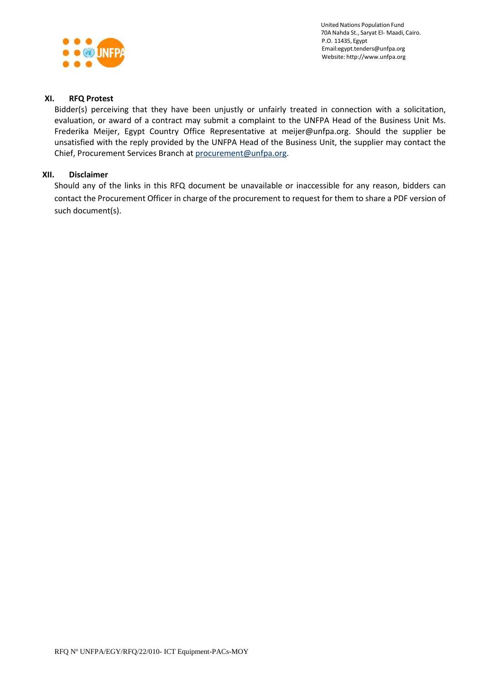

### **XI. RFQ Protest**

Bidder(s) perceiving that they have been unjustly or unfairly treated in connection with a solicitation, evaluation, or award of a contract may submit a complaint to the UNFPA Head of the Business Unit Ms. Frederika Meijer, Egypt Country Office Representative at meijer@unfpa.org. Should the supplier be unsatisfied with the reply provided by the UNFPA Head of the Business Unit, the supplier may contact the Chief, Procurement Services Branch a[t procurement@unfpa.org.](mailto:procurement@unfpa.org)

## **XII. Disclaimer**

Should any of the links in this RFQ document be unavailable or inaccessible for any reason, bidders can contact the Procurement Officer in charge of the procurement to request for them to share a PDF version of such document(s).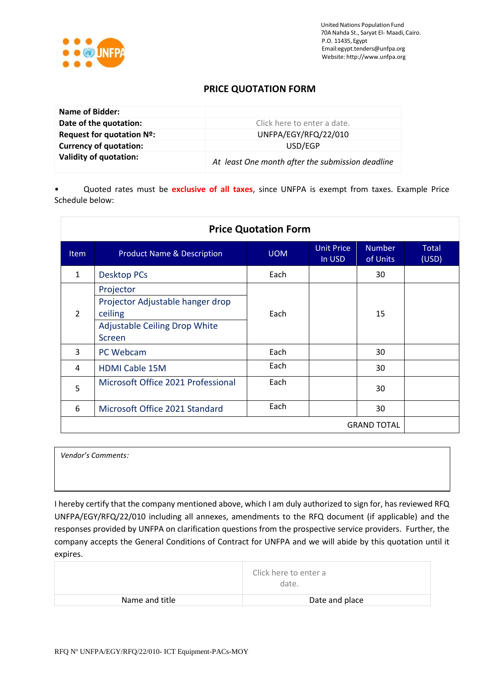

# **PRICE QUOTATION FORM**

| Name of Bidder:                     |                                                  |
|-------------------------------------|--------------------------------------------------|
| Date of the quotation:              | Click here to enter a date.                      |
| Request for quotation $N^{\circ}$ : | UNFPA/EGY/RFQ/22/010                             |
| <b>Currency of quotation:</b>       | USD/EGP                                          |
| <b>Validity of quotation:</b>       | At least One month after the submission deadline |

• Quoted rates must be **exclusive of all taxes**, since UNFPA is exempt from taxes. Example Price Schedule below:

| <b>Price Quotation Form</b> |                                                                                                     |            |                      |                           |                |
|-----------------------------|-----------------------------------------------------------------------------------------------------|------------|----------------------|---------------------------|----------------|
| <b>Item</b>                 | <b>Product Name &amp; Description</b>                                                               | <b>UOM</b> | Unit Price<br>In USD | <b>Number</b><br>of Units | Total<br>(USD) |
| $\mathbf{1}$                | <b>Desktop PCs</b>                                                                                  | Each       |                      | 30                        |                |
| $\overline{2}$              | Projector<br>Projector Adjustable hanger drop<br>ceiling<br>Adjustable Ceiling Drop White<br>Screen | Each       |                      | 15                        |                |
| 3                           | PC Webcam                                                                                           | Each       |                      | 30                        |                |
| 4                           | <b>HDMI Cable 15M</b>                                                                               | Each       |                      | 30                        |                |
| 5                           | Microsoft Office 2021 Professional                                                                  | Each       |                      | 30                        |                |
| 6                           | Microsoft Office 2021 Standard                                                                      | Each       |                      | 30                        |                |
| <b>GRAND TOTAL</b>          |                                                                                                     |            |                      |                           |                |

*Vendor's Comments:*

I hereby certify that the company mentioned above, which I am duly authorized to sign for, has reviewed RFQ UNFPA/EGY/RFQ/22/010 including all annexes, amendments to the RFQ document (if applicable) and the responses provided by UNFPA on clarification questions from the prospective service providers. Further, the company accepts the General Conditions of Contract for UNFPA and we will abide by this quotation until it expires.

|                | Click here to enter a<br>date. |
|----------------|--------------------------------|
| Name and title | Date and place                 |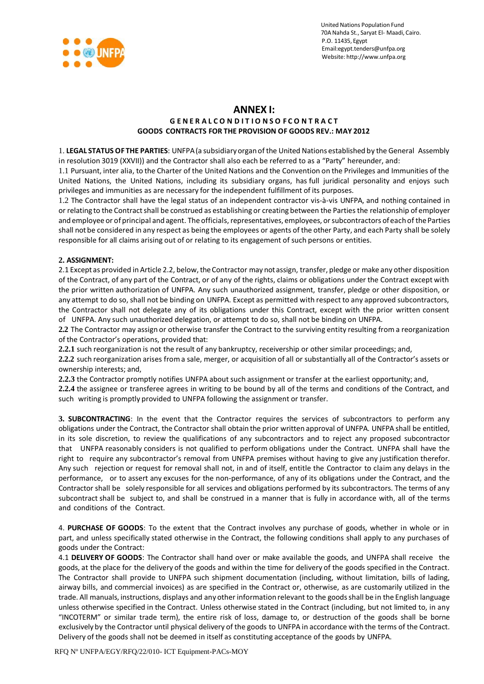

## **ANNEX I: GENERALCONDITIONSOFCONTRACT GOODS CONTRACTS FOR THE PROVISION OF GOODS REV.: MAY 2012**

1. **LEGAL STATUS OF THE PARTIES**: UNFPA(a subsidiaryorganof the United Nations established by the General Assembly in resolution 3019 (XXVII)) and the Contractor shall also each be referred to as a "Party" hereunder, and:

1.1 Pursuant, inter alia, to the Charter of the United Nations and the Convention on the Privileges and Immunities of the United Nations, the United Nations, including its subsidiary organs, has full juridical personality and enjoys such privileges and immunities as are necessary for the independent fulfillment of its purposes.

1.2 The Contractor shall have the legal status of an independent contractor vis-à-vis UNFPA, and nothing contained in or relating to the Contract shall be construed as establishing or creating between the Parties the relationship of employer and employee or of principal and agent. The officials, representatives, employees, or subcontractors of each of the Parties shall not be considered in any respect as being the employees or agents of the other Party, and each Party shall be solely responsible for all claims arising out of or relating to its engagement of such persons or entities.

### **2. ASSIGNMENT:**

2.1 Except as provided in Article 2.2, below, theContractor may notassign, transfer, pledge or make any other disposition of the Contract, of any part of the Contract, or of any of the rights, claims or obligations under the Contract except with the prior written authorization of UNFPA. Any such unauthorized assignment, transfer, pledge or other disposition, or any attempt to do so, shall not be binding on UNFPA. Except as permitted with respect to any approved subcontractors, the Contractor shall not delegate any of its obligations under this Contract, except with the prior written consent of UNFPA. Any such unauthorized delegation, or attempt to do so, shall not be binding on UNFPA.

**2.2** The Contractor may assign or otherwise transfer the Contract to the surviving entity resulting from a reorganization of the Contractor's operations, provided that:

**2.2.1** such reorganization is not the result of any bankruptcy, receivership or other similar proceedings; and,

**2.2.2** such reorganization arises froma sale, merger, or acquisition of all or substantially all of the Contractor's assets or ownership interests; and,

**2.2.3** the Contractor promptly notifies UNFPA about such assignment or transfer at the earliest opportunity; and,

**2.2.4** the assignee or transferee agrees in writing to be bound by all of the terms and conditions of the Contract, and such writing is promptly provided to UNFPA following the assignment or transfer.

**3. SUBCONTRACTING**: In the event that the Contractor requires the services of subcontractors to perform any obligations under the Contract, the Contractor shall obtain the prior written approval of UNFPA. UNFPA shall be entitled, in its sole discretion, to review the qualifications of any subcontractors and to reject any proposed subcontractor that UNFPA reasonably considers is not qualified to perform obligations under the Contract. UNFPA shall have the right to require any subcontractor's removal from UNFPA premises without having to give any justification therefor. Any such rejection or request for removal shall not, in and of itself, entitle the Contractor to claim any delays in the performance, or to assert any excuses for the non-performance, of any of its obligations under the Contract, and the Contractor shall be solely responsible for all services and obligations performed by its subcontractors. The terms of any subcontract shall be subject to, and shall be construed in a manner that is fully in accordance with, all of the terms and conditions of the Contract.

4. **PURCHASE OF GOODS**: To the extent that the Contract involves any purchase of goods, whether in whole or in part, and unless specifically stated otherwise in the Contract, the following conditions shall apply to any purchases of goods under the Contract:

4.1 **DELIVERY OF GOODS**: The Contractor shall hand over or make available the goods, and UNFPA shall receive the goods, at the place for the delivery of the goods and within the time for delivery of the goods specified in the Contract. The Contractor shall provide to UNFPA such shipment documentation (including, without limitation, bills of lading, airway bills, and commercial invoices) as are specified in the Contract or, otherwise, as are customarily utilized in the trade. All manuals, instructions, displays and any other information relevant to the goodsshall be in the English language unless otherwise specified in the Contract. Unless otherwise stated in the Contract (including, but not limited to, in any "INCOTERM" or similar trade term), the entire risk of loss, damage to, or destruction of the goods shall be borne exclusively by the Contractor until physical delivery of the goods to UNFPA in accordance with the terms of the Contract. Delivery of the goods shall not be deemed in itself as constituting acceptance of the goods by UNFPA.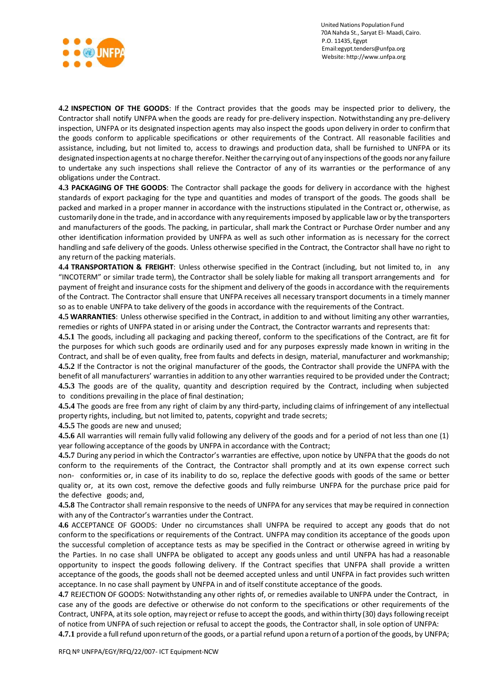

**4.2 INSPECTION OF THE GOODS**: If the Contract provides that the goods may be inspected prior to delivery, the Contractor shall notify UNFPA when the goods are ready for pre-delivery inspection. Notwithstanding any pre-delivery inspection, UNFPA or its designated inspection agents may also inspect the goods upon delivery in order to confirmthat the goods conform to applicable specifications or other requirements of the Contract. All reasonable facilities and assistance, including, but not limited to, access to drawings and production data, shall be furnished to UNFPA or its designated inspection agents at no charge therefor. Neither the carrying out of any inspections of the goods nor any failure to undertake any such inspections shall relieve the Contractor of any of its warranties or the performance of any obligations under the Contract.

**4.3 PACKAGING OF THE GOODS**: The Contractor shall package the goods for delivery in accordance with the highest standards of export packaging for the type and quantities and modes of transport of the goods. The goods shall be packed and marked in a proper manner in accordance with the instructions stipulated in the Contract or, otherwise, as customarily done in the trade, and in accordance with any requirementsimposed by applicable law or by the transporters and manufacturers of the goods. The packing, in particular, shall mark the Contract or Purchase Order number and any other identification information provided by UNFPA as well as such other information as is necessary for the correct handling and safe delivery of the goods. Unless otherwise specified in the Contract, the Contractor shall have no right to any return of the packing materials.

**4.4 TRANSPORTATION & FREIGHT**: Unless otherwise specified in the Contract (including, but not limited to, in any "INCOTERM" or similar trade term), the Contractor shall be solely liable for making all transport arrangements and for payment of freight and insurance costs for the shipment and delivery of the goods in accordance with the requirements of the Contract. The Contractor shall ensure that UNFPA receives all necessary transport documents in a timely manner so as to enable UNFPA to take delivery of the goods in accordance with the requirements of the Contract.

**4.5 WARRANTIES**: Unless otherwise specified in the Contract, in addition to and without limiting any other warranties, remedies or rights of UNFPA stated in or arising under the Contract, the Contractor warrants and represents that:

**4.5.1** The goods, including all packaging and packing thereof, conform to the specifications of the Contract, are fit for the purposes for which such goods are ordinarily used and for any purposes expressly made known in writing in the Contract, and shall be of even quality, free from faults and defects in design, material, manufacturer and workmanship; **4.5.2** If the Contractor is not the original manufacturer of the goods, the Contractor shall provide the UNFPA with the benefit of all manufacturers' warranties in addition to any other warranties required to be provided under the Contract; **4.5.3** The goods are of the quality, quantity and description required by the Contract, including when subjected to conditions prevailing in the place of final destination;

**4.5.4** The goods are free from any right of claim by any third-party, including claims of infringement of any intellectual property rights, including, but not limited to, patents, copyright and trade secrets;

**4.5.5** The goods are new and unused;

**4.5.6** All warranties will remain fully valid following any delivery of the goods and for a period of not less than one (1) year following acceptance of the goods by UNFPA in accordance with the Contract;

**4.5.7** During any period in which the Contractor's warranties are effective, upon notice by UNFPA that the goods do not conform to the requirements of the Contract, the Contractor shall promptly and at its own expense correct such non- conformities or, in case of its inability to do so, replace the defective goods with goods of the same or better quality or, at its own cost, remove the defective goods and fully reimburse UNFPA for the purchase price paid for the defective goods; and,

**4.5.8** The Contractor shall remain responsive to the needs of UNFPA for any services that may be required in connection with any of the Contractor's warranties under the Contract.

**4.6** ACCEPTANCE OF GOODS: Under no circumstances shall UNFPA be required to accept any goods that do not conform to the specifications or requirements of the Contract. UNFPA may condition its acceptance of the goods upon the successful completion of acceptance tests as may be specified in the Contract or otherwise agreed in writing by the Parties. In no case shall UNFPA be obligated to accept any goods unless and until UNFPA has had a reasonable opportunity to inspect the goods following delivery. If the Contract specifies that UNFPA shall provide a written acceptance of the goods, the goods shall not be deemed accepted unless and until UNFPA in fact provides such written acceptance. In no case shall payment by UNFPA in and of itself constitute acceptance of the goods.

**4.7** REJECTION OF GOODS: Notwithstanding any other rights of, or remedies available to UNFPA under the Contract, in case any of the goods are defective or otherwise do not conform to the specifications or other requirements of the Contract, UNFPA, atits sole option, may reject or refuse to accept the goods, and within thirty (30) days following receipt of notice from UNFPA of such rejection or refusal to accept the goods, the Contractor shall, in sole option of UNFPA:

**4.7.1** provide a fullrefund uponreturnof the goods, or a partial refund upona returnof a portion of the goods, by UNFPA;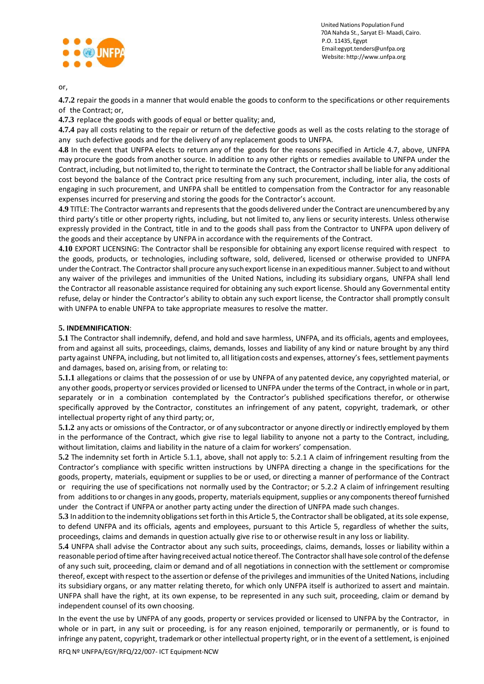

or,

**4.7.2** repair the goods in a manner that would enable the goods to conform to the specifications or other requirements of the Contract; or,

**4.7.3** replace the goods with goods of equal or better quality; and,

**4.7.4** pay all costs relating to the repair or return of the defective goods as well as the costs relating to the storage of any such defective goods and for the delivery of any replacement goods to UNFPA.

**4.8** In the event that UNFPA elects to return any of the goods for the reasons specified in Article 4.7, above, UNFPA may procure the goods from another source. In addition to any other rights or remedies available to UNFPA under the Contract, including, but notlimited to, the right to terminate the Contract, the Contractorshall be liable for any additional cost beyond the balance of the Contract price resulting from any such procurement, including, inter alia, the costs of engaging in such procurement, and UNFPA shall be entitled to compensation from the Contractor for any reasonable expenses incurred for preserving and storing the goods for the Contractor's account.

**4.9** TITLE: The Contractor warrants and representsthat the goods delivered underthe Contract are unencumbered by any third party's title or other property rights, including, but not limited to, any liens or security interests. Unless otherwise expressly provided in the Contract, title in and to the goods shall pass from the Contractor to UNFPA upon delivery of the goods and their acceptance by UNFPA in accordance with the requirements of the Contract.

**4.10** EXPORT LICENSING: The Contractor shall be responsible for obtaining any export license required with respect to the goods, products, or technologies, including software, sold, delivered, licensed or otherwise provided to UNFPA under the Contract. The Contractor shall procure any such export license in an expeditious manner. Subject to and without any waiver of the privileges and immunities of the United Nations, including its subsidiary organs, UNFPA shall lend the Contractor all reasonable assistance required for obtaining any such export license. Should any Governmental entity refuse, delay or hinder the Contractor's ability to obtain any such export license, the Contractor shall promptly consult with UNFPA to enable UNFPA to take appropriate measures to resolve the matter.

### **5. INDEMNIFICATION**:

**5.1** The Contractor shall indemnify, defend, and hold and save harmless, UNFPA, and its officials, agents and employees, from and against all suits, proceedings, claims, demands, losses and liability of any kind or nature brought by any third party against UNFPA, including, but not limited to, all litigation costs and expenses, attorney's fees, settlement payments and damages, based on, arising from, or relating to:

**5.1.1** allegations or claims that the possession of or use by UNFPA of any patented device, any copyrighted material, or any other goods, property or services provided or licensed to UNFPA under the terms of the Contract, in whole or in part, separately or in a combination contemplated by the Contractor's published specifications therefor, or otherwise specifically approved by the Contractor, constitutes an infringement of any patent, copyright, trademark, or other intellectual property right of any third party; or,

**5.1.2** any acts or omissions of the Contractor, or of any subcontractor or anyone directly or indirectly employed by them in the performance of the Contract, which give rise to legal liability to anyone not a party to the Contract, including, without limitation, claims and liability in the nature of a claim for workers' compensation.

**5.2** The indemnity set forth in Article 5.1.1, above, shall not apply to: 5.2.1 A claim of infringement resulting from the Contractor's compliance with specific written instructions by UNFPA directing a change in the specifications for the goods, property, materials, equipment or supplies to be or used, or directing a manner of performance of the Contract or requiring the use of specifications not normally used by the Contractor; or 5.2.2 A claim of infringement resulting from additions to or changes in any goods, property, materials equipment, supplies or any components thereof furnished under the Contract if UNFPA or another party acting under the direction of UNFPA made such changes.

**5.3** In addition to the indemnity obligations set forth in this Article 5, the Contractor shall be obligated, at its sole expense, to defend UNFPA and its officials, agents and employees, pursuant to this Article 5, regardless of whether the suits, proceedings, claims and demands in question actually give rise to or otherwise result in any loss or liability.

**5.4** UNFPA shall advise the Contractor about any such suits, proceedings, claims, demands, losses or liability within a reasonable period oftimeafter havingreceived actual notice thereof. The Contractorshall have sole control ofthedefense of any such suit, proceeding, claim or demand and of all negotiations in connection with the settlement or compromise thereof, except with respect to the assertion or defense of the privileges and immunities of the United Nations, including its subsidiary organs, or any matter relating thereto, for which only UNFPA itself is authorized to assert and maintain. UNFPA shall have the right, at its own expense, to be represented in any such suit, proceeding, claim or demand by independent counsel of its own choosing.

In the event the use by UNFPA of any goods, property or services provided or licensed to UNFPA by the Contractor, in whole or in part, in any suit or proceeding, is for any reason enjoined, temporarily or permanently, or is found to infringe any patent, copyright, trademark or other intellectual property right, or in the event of a settlement, is enjoined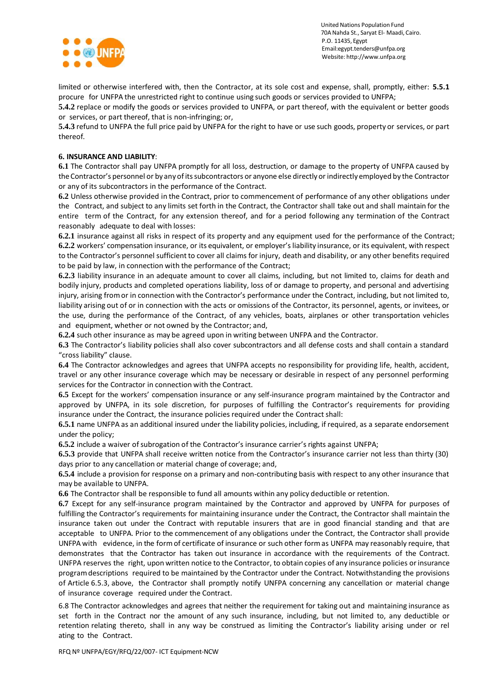

limited or otherwise interfered with, then the Contractor, at its sole cost and expense, shall, promptly, either: **5.5.1** procure for UNFPA the unrestricted right to continue using such goods or services provided to UNFPA;

**5.4.2** replace or modify the goods or services provided to UNFPA, or part thereof, with the equivalent or better goods or services, or part thereof, that is non-infringing; or,

**5.4.3** refund to UNFPA the full price paid by UNFPA for the right to have or use such goods, property or services, or part thereof.

#### **6. INSURANCE AND LIABILITY**:

**6.1** The Contractor shall pay UNFPA promptly for all loss, destruction, or damage to the property of UNFPA caused by the Contractor's personnel or by anyofitssubcontractors or anyone else directlyorindirectly employed by the Contractor or any of its subcontractors in the performance of the Contract.

**6.2** Unless otherwise provided in the Contract, prior to commencement of performance of any other obligations under the Contract, and subject to any limits set forth in the Contract, the Contractor shall take out and shall maintain for the entire term of the Contract, for any extension thereof, and for a period following any termination of the Contract reasonably adequate to deal with losses:

**6.2.1** insurance against all risks in respect of its property and any equipment used for the performance of the Contract; **6.2.2** workers' compensation insurance, or its equivalent, or employer's liability insurance, or its equivalent, with respect to the Contractor's personnel sufficient to cover all claims for injury, death and disability, or any other benefits required to be paid by law, in connection with the performance of the Contract;

**6.2.3** liability insurance in an adequate amount to cover all claims, including, but not limited to, claims for death and bodily injury, products and completed operations liability, loss of or damage to property, and personal and advertising injury, arising fromor in connection with the Contractor's performance under the Contract, including, but not limited to, liability arising out of or in connection with the acts or omissions of the Contractor, its personnel, agents, or invitees, or the use, during the performance of the Contract, of any vehicles, boats, airplanes or other transportation vehicles and equipment, whether or not owned by the Contractor; and,

**6.2.4** such other insurance as may be agreed upon in writing between UNFPA and the Contractor.

**6.3** The Contractor's liability policies shall also cover subcontractors and all defense costs and shall contain a standard "cross liability" clause.

**6.4** The Contractor acknowledges and agrees that UNFPA accepts no responsibility for providing life, health, accident, travel or any other insurance coverage which may be necessary or desirable in respect of any personnel performing services for the Contractor in connection with the Contract.

**6.5** Except for the workers' compensation insurance or any self-insurance program maintained by the Contractor and approved by UNFPA, in its sole discretion, for purposes of fulfilling the Contractor's requirements for providing insurance under the Contract, the insurance policies required under the Contract shall:

**6.5.1** name UNFPA as an additional insured under the liability policies, including, if required, as a separate endorsement under the policy;

**6.5.2** include a waiver of subrogation of the Contractor's insurance carrier's rights against UNFPA;

**6.5.3** provide that UNFPA shall receive written notice from the Contractor's insurance carrier not less than thirty (30) days prior to any cancellation or material change of coverage; and,

**6.5.4** include a provision for response on a primary and non-contributing basis with respect to any other insurance that may be available to UNFPA.

**6.6** The Contractor shall be responsible to fund all amounts within any policy deductible or retention.

**6.7** Except for any self-insurance program maintained by the Contractor and approved by UNFPA for purposes of fulfilling the Contractor's requirements for maintaining insurance under the Contract, the Contractor shall maintain the insurance taken out under the Contract with reputable insurers that are in good financial standing and that are acceptable to UNFPA. Prior to the commencement of any obligations under the Contract, the Contractor shall provide UNFPA with evidence, in the formof certificate of insurance or such other formas UNFPA may reasonably require, that demonstrates that the Contractor has taken out insurance in accordance with the requirements of the Contract. UNFPA reserves the right, upon written notice to the Contractor, to obtain copies of any insurance policies orinsurance programdescriptions required to be maintained by the Contractor under the Contract. Notwithstanding the provisions of Article 6.5.3, above, the Contractor shall promptly notify UNFPA concerning any cancellation or material change of insurance coverage required under the Contract.

6.8 The Contractor acknowledges and agrees that neither the requirement for taking out and maintaining insurance as set forth in the Contract nor the amount of any such insurance, including, but not limited to, any deductible or retention relating thereto, shall in any way be construed as limiting the Contractor's liability arising under or rel ating to the Contract.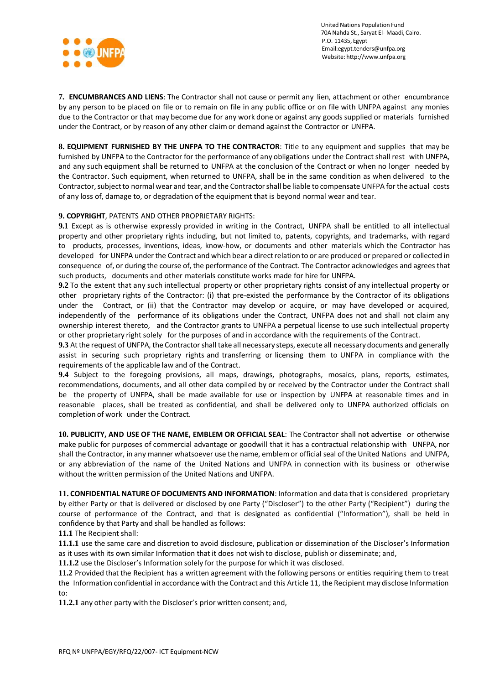

**7. ENCUMBRANCES AND LIENS**: The Contractor shall not cause or permit any lien, attachment or other encumbrance by any person to be placed on file or to remain on file in any public office or on file with UNFPA against any monies due to the Contractor or that may become due for any work done or against any goods supplied or materials furnished under the Contract, or by reason of any other claimor demand against the Contractor or UNFPA.

**8. EQUIPMENT FURNISHED BY THE UNFPA TO THE CONTRACTOR**: Title to any equipment and supplies that may be furnished by UNFPA to the Contractor for the performance of any obligations under the Contract shall rest with UNFPA, and any such equipment shall be returned to UNFPA at the conclusion of the Contract or when no longer needed by the Contractor. Such equipment, when returned to UNFPA, shall be in the same condition as when delivered to the Contractor,subjectto normal wear and tear, and the Contractorshall be liable to compensate UNFPA for the actual costs of any loss of, damage to, or degradation of the equipment that is beyond normal wear and tear.

### **9. COPYRIGHT**, PATENTS AND OTHER PROPRIETARY RIGHTS:

**9.1** Except as is otherwise expressly provided in writing in the Contract, UNFPA shall be entitled to all intellectual property and other proprietary rights including, but not limited to, patents, copyrights, and trademarks, with regard to products, processes, inventions, ideas, know-how, or documents and other materials which the Contractor has developed for UNFPA under the Contract and which bear a direct relation to or are produced or prepared or collected in consequence of, or during the course of, the performance of the Contract. The Contractor acknowledges and agrees that such products, documents and other materials constitute works made for hire for UNFPA.

**9.2** To the extent that any such intellectual property or other proprietary rights consist of any intellectual property or other proprietary rights of the Contractor: (i) that pre-existed the performance by the Contractor of its obligations under the Contract, or (ii) that the Contractor may develop or acquire, or may have developed or acquired, independently of the performance of its obligations under the Contract, UNFPA does not and shall not claim any ownership interest thereto, and the Contractor grants to UNFPA a perpetual license to use such intellectual property or other proprietary right solely for the purposes of and in accordance with the requirements of the Contract.

**9.3** At the request of UNFPA, the Contractorshall take all necessary steps, execute all necessary documents and generally assist in securing such proprietary rights and transferring or licensing them to UNFPA in compliance with the requirements of the applicable law and of the Contract.

**9.4** Subject to the foregoing provisions, all maps, drawings, photographs, mosaics, plans, reports, estimates, recommendations, documents, and all other data compiled by or received by the Contractor under the Contract shall be the property of UNFPA, shall be made available for use or inspection by UNFPA at reasonable times and in reasonable places, shall be treated as confidential, and shall be delivered only to UNFPA authorized officials on completion of work under the Contract.

**10. PUBLICITY, AND USE OF THE NAME, EMBLEM OR OFFICIAL SEAL**: The Contractor shall not advertise or otherwise make public for purposes of commercial advantage or goodwill that it has a contractual relationship with UNFPA, nor shall the Contractor, in any manner whatsoever use the name, emblemor official seal ofthe United Nations and UNFPA, or any abbreviation of the name of the United Nations and UNFPA in connection with its business or otherwise without the written permission of the United Nations and UNFPA.

**11. CONFIDENTIAL NATUREOF DOCUMENTS AND INFORMATION**: Information and data thatis considered proprietary by either Party or that is delivered or disclosed by one Party ("Discloser") to the other Party ("Recipient") during the course of performance of the Contract, and that is designated as confidential ("Information"), shall be held in confidence by that Party and shall be handled as follows:

**11.1** The Recipient shall:

**11.1.1** use the same care and discretion to avoid disclosure, publication or dissemination of the Discloser's Information as it uses with its own similar Information that it does not wish to disclose, publish or disseminate; and,

**11.1.2** use the Discloser's Information solely for the purpose for which it was disclosed.

**11.2** Provided that the Recipient has a written agreement with the following persons or entities requiring them to treat the Information confidential in accordance with the Contract and this Article 11, the Recipient may disclose Information to:

**11.2.1** any other party with the Discloser's prior written consent; and,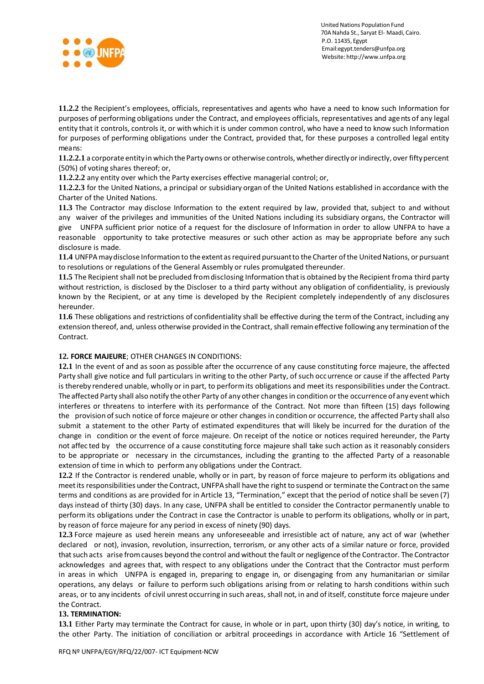

**11.2.2** the Recipient's employees, officials, representatives and agents who have a need to know such Information for purposes of performing obligations under the Contract, and employees officials, representatives and agents of any legal entity that it controls, controls it, or with which it is under common control, who have a need to know such Information for purposes of performing obligations under the Contract, provided that, for these purposes a controlled legal entity means:

**11.2.2.1** a corporate entity in which thePartyowns or otherwise controls, whether directlyorindirectly, over fiftypercent (50%) of voting shares thereof; or,

**11.2.2.2** any entity over which the Party exercises effective managerial control; or,

**11.2.2.3** for the United Nations, a principal or subsidiary organ of the United Nations established in accordance with the Charter of the United Nations.

**11.3** The Contractor may disclose Information to the extent required by law, provided that, subject to and without any waiver of the privileges and immunities of the United Nations including its subsidiary organs, the Contractor will give UNFPA sufficient prior notice of a request for the disclosure of Information in order to allow UNFPA to have a reasonable opportunity to take protective measures or such other action as may be appropriate before any such disclosure is made.

**11.4** UNFPAmaydisclose Information to the extent asrequired pursuantto the Charter ofthe UnitedNations, or pursuant to resolutions or regulations of the General Assembly or rules promulgated thereunder.

**11.5** The Recipient shall not be precluded from disclosing Information that is obtained by the Recipient froma third party without restriction, is disclosed by the Discloser to a third party without any obligation of confidentiality, is previously known by the Recipient, or at any time is developed by the Recipient completely independently of any disclosures hereunder.

**11.6** These obligations and restrictions of confidentiality shall be effective during the termof the Contract, including any extension thereof, and, unless otherwise provided in the Contract, shall remain effective following any termination of the Contract.

### **12. FORCE MAJEURE**; OTHER CHANGES IN CONDITIONS:

**12.1** In the event of and as soon as possible after the occurrence of any cause constituting force majeure, the affected Party shall give notice and full particulars in writing to the other Party, of such occurrence or cause if the affected Party is thereby rendered unable, wholly or in part, to performits obligations and meet its responsibilities under the Contract. The affected Party shall also notify the other Party of any other changesin condition orthe occurrence of any eventwhich interferes or threatens to interfere with its performance of the Contract. Not more than fifteen (15) days following the provision ofsuch notice of force majeure or other changes in condition or occurrence, the affected Party shall also submit a statement to the other Party of estimated expenditures that will likely be incurred for the duration of the change in condition or the event of force majeure. On receipt of the notice or notices required hereunder, the Party not affec ted by the occurrence of a cause constituting force majeure shall take such action as it reasonably considers to be appropriate or necessary in the circumstances, including the granting to the affected Party of a reasonable extension of time in which to performany obligations under the Contract.

**12.2** If the Contractor is rendered unable, wholly or in part, by reason of force majeure to perform its obligations and meetits responsibilities under the Contract, UNFPAshall have the right to suspend or terminate the Contracton the same terms and conditions as are provided for in Article 13, "Termination," except that the period of notice shall be seven (7) days instead of thirty (30) days. In any case, UNFPA shall be entitled to consider the Contractor permanently unable to perform its obligations under the Contract in case the Contractor is unable to perform its obligations, wholly or in part, by reason of force majeure for any period in excess of ninety (90) days.

**12.3** Force majeure as used herein means any unforeseeable and irresistible act of nature, any act of war (whether declared or not), invasion, revolution, insurrection, terrorism, or any other acts of a similar nature or force, provided thatsuch acts arise fromcauses beyond the control and without the fault or negligence ofthe Contractor. The Contractor acknowledges and agrees that, with respect to any obligations under the Contract that the Contractor must perform in areas in which UNFPA is engaged in, preparing to engage in, or disengaging from any humanitarian or similar operations, any delays or failure to perform such obligations arising from or relating to harsh conditions within such areas, or to any incidents of civil unrest occurring in such areas, shall not, in and of itself, constitute force majeure under the Contract.

### **13. TERMINATION:**

**13.1** Either Party may terminate the Contract for cause, in whole or in part, upon thirty (30) day's notice, in writing, to the other Party. The initiation of conciliation or arbitral proceedings in accordance with Article 16 "Settlement of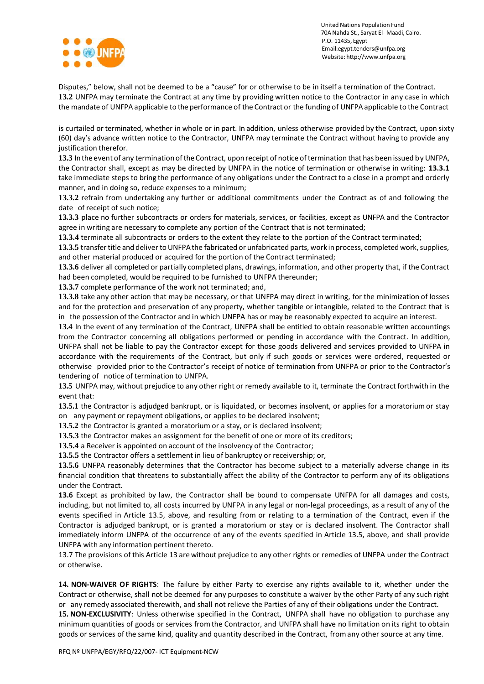

Disputes," below, shall not be deemed to be a "cause" for or otherwise to be in itself a termination of the Contract. **13.2** UNFPA may terminate the Contract at any time by providing written notice to the Contractor in any case in which the mandate of UNFPA applicable to the performance of the Contract or the funding of UNFPAapplicable to the Contract

is curtailed or terminated, whether in whole or in part. In addition, unless otherwise provided by the Contract, upon sixty (60) day's advance written notice to the Contractor, UNFPA may terminate the Contract without having to provide any justification therefor.

**13.3** Inthe event of any terminationofthe Contract, uponreceipt of notice oftermination that has been issued by UNFPA, the Contractor shall, except as may be directed by UNFPA in the notice of termination or otherwise in writing: **13.3.1** take immediate steps to bring the performance of any obligations under the Contract to a close in a prompt and orderly manner, and in doing so, reduce expenses to a minimum;

**13.3.2** refrain from undertaking any further or additional commitments under the Contract as of and following the date of receipt of such notice;

**13.3.3** place no further subcontracts or orders for materials, services, or facilities, except as UNFPA and the Contractor agree in writing are necessary to complete any portion of the Contract that is not terminated;

**13.3.4** terminate all subcontracts or orders to the extent they relate to the portion of the Contract terminated;

13.3.5 transfer title and deliver to UNFPA the fabricated or unfabricated parts, work in process, completed work, supplies, and other material produced or acquired for the portion of the Contract terminated;

**13.3.6** deliver all completed or partially completed plans, drawings, information, and other property that, if the Contract had been completed, would be required to be furnished to UNFPA thereunder;

**13.3.7** complete performance of the work not terminated; and,

**13.3.8** take any other action that may be necessary, or that UNFPA may direct in writing, for the minimization of losses and for the protection and preservation of any property, whether tangible or intangible, related to the Contract that is in the possession of the Contractor and in which UNFPA has or may be reasonably expected to acquire an interest.

**13.4** In the event of any termination of the Contract, UNFPA shall be entitled to obtain reasonable written accountings from the Contractor concerning all obligations performed or pending in accordance with the Contract. In addition, UNFPA shall not be liable to pay the Contractor except for those goods delivered and services provided to UNFPA in accordance with the requirements of the Contract, but only if such goods or services were ordered, requested or otherwise provided prior to the Contractor's receipt of notice of termination from UNFPA or prior to the Contractor's tendering of notice of termination to UNFPA.

**13.5** UNFPA may, without prejudice to any other right or remedy available to it, terminate the Contract forthwith in the event that:

**13.5.1** the Contractor is adjudged bankrupt, or is liquidated, or becomes insolvent, or applies for a moratoriumor stay on any payment or repayment obligations, or applies to be declared insolvent;

**13.5.2** the Contractor is granted a moratorium or a stay, or is declared insolvent;

**13.5.3** the Contractor makes an assignment for the benefit of one or more of its creditors;

**13.5.4** a Receiver is appointed on account of the insolvency of the Contractor;

**13.5.5** the Contractor offers a settlement in lieu of bankruptcy or receivership; or,

**13.5.6** UNFPA reasonably determines that the Contractor has become subject to a materially adverse change in its financial condition that threatens to substantially affect the ability of the Contractor to perform any of its obligations under the Contract.

**13.6** Except as prohibited by law, the Contractor shall be bound to compensate UNFPA for all damages and costs, including, but not limited to, all costs incurred by UNFPA in any legal or non-legal proceedings, as a result of any of the events specified in Article 13.5, above, and resulting from or relating to a termination of the Contract, even if the Contractor is adjudged bankrupt, or is granted a moratorium or stay or is declared insolvent. The Contractor shall immediately inform UNFPA of the occurrence of any of the events specified in Article 13.5, above, and shall provide UNFPA with any information pertinent thereto.

13.7 The provisions of this Article 13 arewithout prejudice to any other rights or remedies of UNFPA under the Contract or otherwise.

**14. NON-WAIVER OF RIGHTS**: The failure by either Party to exercise any rights available to it, whether under the Contract or otherwise, shall not be deemed for any purposes to constitute a waiver by the other Party of any such right or any remedy associated therewith, and shall not relieve the Parties of any of their obligations under the Contract.

**15. NON-EXCLUSIVITY**: Unless otherwise specified in the Contract, UNFPA shall have no obligation to purchase any minimum quantities of goods or services fromthe Contractor, and UNFPA shall have no limitation on its right to obtain goods or services of the same kind, quality and quantity described in the Contract, fromany other source at any time.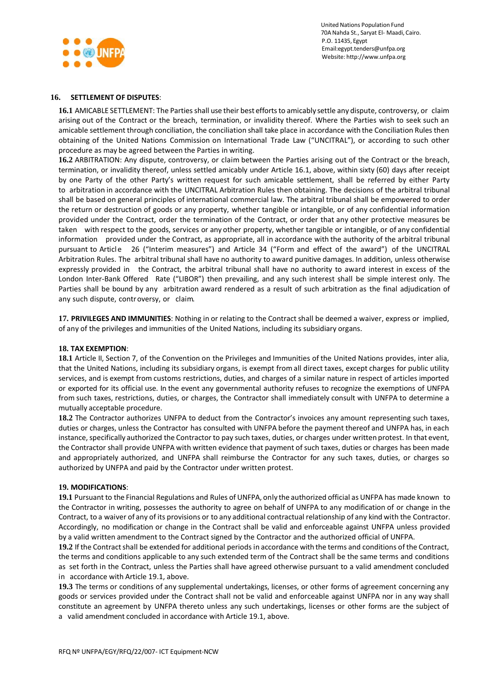

#### **16. SETTLEMENT OF DISPUTES**:

**16.1** AMICABLE SETTLEMENT: The Partiesshall use their best effortsto amicably settle any dispute, controversy, or claim arising out of the Contract or the breach, termination, or invalidity thereof. Where the Parties wish to seek such an amicable settlement through conciliation, the conciliation shall take place in accordance with the Conciliation Rules then obtaining of the United Nations Commission on International Trade Law ("UNCITRAL"), or according to such other procedure as may be agreed between the Parties in writing.

**16.2** ARBITRATION: Any dispute, controversy, or claim between the Parties arising out of the Contract or the breach, termination, or invalidity thereof, unless settled amicably under Article 16.1, above, within sixty (60) days after receipt by one Party of the other Party's written request for such amicable settlement, shall be referred by either Party to arbitration in accordance with the UNCITRAL Arbitration Rules then obtaining. The decisions of the arbitral tribunal shall be based on general principles of international commercial law. The arbitral tribunal shall be empowered to order the return or destruction of goods or any property, whether tangible or intangible, or of any confidential information provided under the Contract, order the termination of the Contract, or order that any other protective measures be taken with respect to the goods, services or any other property, whether tangible or intangible, or of any confidential information provided under the Contract, as appropriate, all in accordance with the authority of the arbitral tribunal pursuant to Article 26 ("Interim measures") and Article 34 ("Form and effect of the award") of the UNCITRAL Arbitration Rules. The arbitral tribunal shall have no authority to award punitive damages. In addition, unless otherwise expressly provided in the Contract, the arbitral tribunal shall have no authority to award interest in excess of the London Inter-Bank Offered Rate ("LIBOR") then prevailing, and any such interest shall be simple interest only. The Parties shall be bound by any arbitration award rendered as a result of such arbitration as the final adjudication of any such dispute, controversy, or claim.

**17. PRIVILEGES AND IMMUNITIES**: Nothing in or relating to the Contract shall be deemed a waiver, express or implied, of any of the privileges and immunities of the United Nations, including its subsidiary organs.

#### **18. TAX EXEMPTION**:

**18.1** Article II, Section 7, of the Convention on the Privileges and Immunities of the United Nations provides, inter alia, that the United Nations, including its subsidiary organs, is exempt fromall direct taxes, except charges for public utility services, and is exempt from customs restrictions, duties, and charges of a similar nature in respect of articles imported or exported for its official use. In the event any governmental authority refuses to recognize the exemptions of UNFPA from such taxes, restrictions, duties, or charges, the Contractor shall immediately consult with UNFPA to determine a mutually acceptable procedure.

**18.2** The Contractor authorizes UNFPA to deduct from the Contractor's invoices any amount representing such taxes, duties or charges, unless the Contractor has consulted with UNFPA before the payment thereof and UNFPA has, in each instance, specifically authorized the Contractor to pay such taxes, duties, or charges under written protest. In that event, the Contractor shall provide UNFPA with written evidence that payment of such taxes, duties or charges has been made and appropriately authorized, and UNFPA shall reimburse the Contractor for any such taxes, duties, or charges so authorized by UNFPA and paid by the Contractor under written protest.

#### **19. MODIFICATIONS**:

**19.1** Pursuant to the Financial Regulations and Rules of UNFPA, only the authorized official as UNFPA has made known to the Contractor in writing, possesses the authority to agree on behalf of UNFPA to any modification of or change in the Contract, to a waiver of any of its provisions or to any additional contractual relationship of any kind with the Contractor. Accordingly, no modification or change in the Contract shall be valid and enforceable against UNFPA unless provided by a valid written amendment to the Contract signed by the Contractor and the authorized official of UNFPA.

**19.2** If the Contractshall be extended for additional periods in accordance with the terms and conditions of the Contract, the terms and conditions applicable to any such extended term of the Contract shall be the same terms and conditions as set forth in the Contract, unless the Parties shall have agreed otherwise pursuant to a valid amendment concluded in accordance with Article 19.1, above.

**19.3** The terms or conditions of any supplemental undertakings, licenses, or other forms of agreement concerning any goods or services provided under the Contract shall not be valid and enforceable against UNFPA nor in any way shall constitute an agreement by UNFPA thereto unless any such undertakings, licenses or other forms are the subject of a valid amendment concluded in accordance with Article 19.1, above.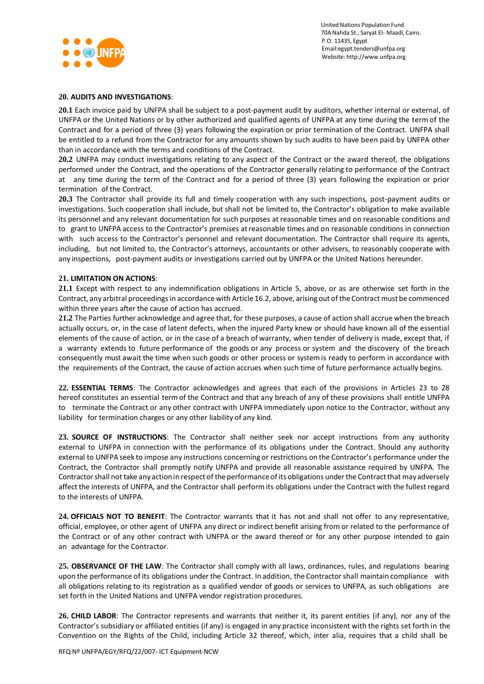

### **20. AUDITS AND INVESTIGATIONS**:

**20.1** Each invoice paid by UNFPA shall be subject to a post-payment audit by auditors, whether internal or external, of UNFPA or the United Nations or by other authorized and qualified agents of UNFPA at any time during the term of the Contract and for a period of three (3) years following the expiration or prior termination of the Contract. UNFPA shall be entitled to a refund from the Contractor for any amounts shown by such audits to have been paid by UNFPA other than in accordance with the terms and conditions of the Contract.

**20.2** UNFPA may conduct investigations relating to any aspect of the Contract or the award thereof, the obligations performed under the Contract, and the operations of the Contractor generally relating to performance of the Contract at any time during the term of the Contract and for a period of three (3) years following the expiration or prior termination of the Contract.

**20.3** The Contractor shall provide its full and timely cooperation with any such inspections, post-payment audits or investigations. Such cooperation shall include, but shall not be limited to, the Contractor's obligation to make available its personnel and any relevant documentation for such purposes at reasonable times and on reasonable conditions and to grant to UNFPA access to the Contractor's premises atreasonable times and on reasonable conditions in connection with such access to the Contractor's personnel and relevant documentation. The Contractor shall require its agents, including, but not limited to, the Contractor's attorneys, accountants or other advisers, to reasonably cooperate with any inspections, post-payment audits or investigations carried out by UNFPA or the United Nations hereunder.

### **21. LIMITATION ON ACTIONS**:

**21.1** Except with respect to any indemnification obligations in Article 5, above, or as are otherwise set forth in the Contract, any arbitral proceedingsin accordance with Article 16.2, above, arisingout of the Contract must be commenced within three years after the cause of action has accrued.

**21.2** The Parties further acknowledge and agree that, for these purposes, a cause of action shall accrue when the breach actually occurs, or, in the case of latent defects, when the injured Party knew or should have known all of the essential elements of the cause of action, or in the case of a breach of warranty, when tender of delivery is made, except that, if a warranty extends to future performance of the goods or any process or system and the discovery of the breach consequently must await the time when such goods or other process or systemis ready to perform in accordance with the requirements of the Contract, the cause of action accrues when such time of future performance actually begins.

**22. ESSENTIAL TERMS**: The Contractor acknowledges and agrees that each of the provisions in Articles 23 to 28 hereof constitutes an essential term of the Contract and that any breach of any of these provisions shall entitle UNFPA to terminate the Contract or any other contract with UNFPA immediately upon notice to the Contractor, without any liability for termination charges or any other liability of any kind.

**23. SOURCE OF INSTRUCTIONS**: The Contractor shall neither seek nor accept instructions from any authority external to UNFPA in connection with the performance of its obligations under the Contract. Should any authority external to UNFPA seek to impose any instructions concerning or restrictions on the Contractor's performance under the Contract, the Contractor shall promptly notify UNFPA and provide all reasonable assistance required by UNFPA. The Contractor shall not take any action in respect of the performance of its obligations under the Contract that may adversely affect the interests of UNFPA, and the Contractor shall performits obligations under the Contract with the fullest regard to the interests of UNFPA.

**24. OFFICIALS NOT TO BENEFIT**: The Contractor warrants that it has not and shall not offer to any representative, official, employee, or other agent of UNFPA any direct or indirect benefit arising from or related to the performance of the Contract or of any other contract with UNFPA or the award thereof or for any other purpose intended to gain an advantage for the Contractor.

**25. OBSERVANCE OF THE LAW**: The Contractor shall comply with all laws, ordinances, rules, and regulations bearing upon the performance of its obligations under the Contract. In addition, the Contractor shall maintain compliance with all obligations relating to its registration as a qualified vendor of goods or services to UNFPA, as such obligations are set forth in the United Nations and UNFPA vendor registration procedures.

**26. CHILD LABOR**: The Contractor represents and warrants that neither it, its parent entities (if any), nor any of the Contractor's subsidiary or affiliated entities (if any) is engaged in any practice inconsistent with the rights set forth in the Convention on the Rights of the Child, including Article 32 thereof, which, inter alia, requires that a child shall be